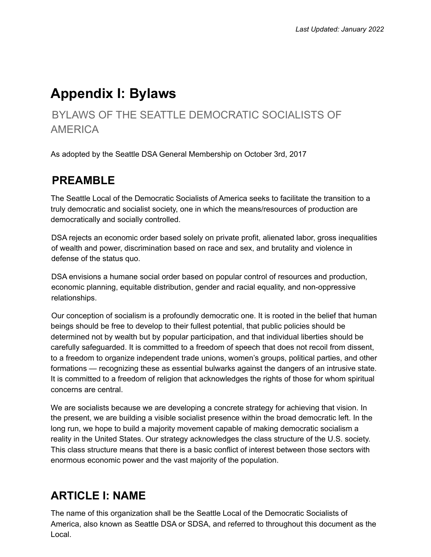# **Appendix I: Bylaws**

### BYLAWS OF THE SEATTLE DEMOCRATIC SOCIALISTS OF AMERICA

As adopted by the Seattle DSA General Membership on October 3rd, 2017

### **PREAMBLE**

The Seattle Local of the Democratic Socialists of America seeks to facilitate the transition to a truly democratic and socialist society, one in which the means/resources of production are democratically and socially controlled.

DSA rejects an economic order based solely on private profit, alienated labor, gross inequalities of wealth and power, discrimination based on race and sex, and brutality and violence in defense of the status quo.

DSA envisions a humane social order based on popular control of resources and production, economic planning, equitable distribution, gender and racial equality, and non-oppressive relationships.

Our conception of socialism is a profoundly democratic one. It is rooted in the belief that human beings should be free to develop to their fullest potential, that public policies should be determined not by wealth but by popular participation, and that individual liberties should be carefully safeguarded. It is committed to a freedom of speech that does not recoil from dissent, to a freedom to organize independent trade unions, women's groups, political parties, and other formations — recognizing these as essential bulwarks against the dangers of an intrusive state. It is committed to a freedom of religion that acknowledges the rights of those for whom spiritual concerns are central.

We are socialists because we are developing a concrete strategy for achieving that vision. In the present, we are building a visible socialist presence within the broad democratic left. In the long run, we hope to build a majority movement capable of making democratic socialism a reality in the United States. Our strategy acknowledges the class structure of the U.S. society. This class structure means that there is a basic conflict of interest between those sectors with enormous economic power and the vast majority of the population.

### **ARTICLE I: NAME**

The name of this organization shall be the Seattle Local of the Democratic Socialists of America, also known as Seattle DSA or SDSA, and referred to throughout this document as the Local.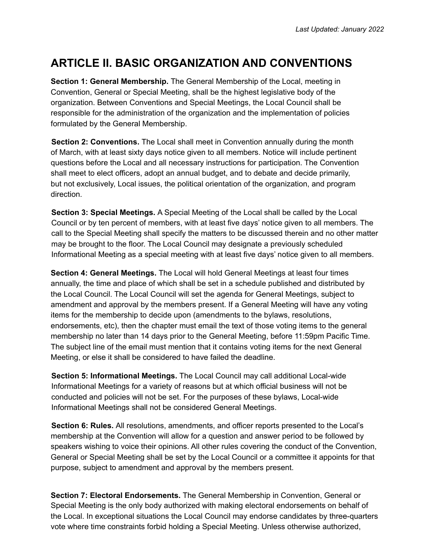### **ARTICLE II. BASIC ORGANIZATION AND CONVENTIONS**

**Section 1: General Membership.** The General Membership of the Local, meeting in Convention, General or Special Meeting, shall be the highest legislative body of the organization. Between Conventions and Special Meetings, the Local Council shall be responsible for the administration of the organization and the implementation of policies formulated by the General Membership.

**Section 2: Conventions.** The Local shall meet in Convention annually during the month of March, with at least sixty days notice given to all members. Notice will include pertinent questions before the Local and all necessary instructions for participation. The Convention shall meet to elect officers, adopt an annual budget, and to debate and decide primarily, but not exclusively, Local issues, the political orientation of the organization, and program direction.

**Section 3: Special Meetings.** A Special Meeting of the Local shall be called by the Local Council or by ten percent of members, with at least five days' notice given to all members. The call to the Special Meeting shall specify the matters to be discussed therein and no other matter may be brought to the floor. The Local Council may designate a previously scheduled Informational Meeting as a special meeting with at least five days' notice given to all members.

**Section 4: General Meetings.** The Local will hold General Meetings at least four times annually, the time and place of which shall be set in a schedule published and distributed by the Local Council. The Local Council will set the agenda for General Meetings, subject to amendment and approval by the members present. If a General Meeting will have any voting items for the membership to decide upon (amendments to the bylaws, resolutions, endorsements, etc), then the chapter must email the text of those voting items to the general membership no later than 14 days prior to the General Meeting, before 11:59pm Pacific Time. The subject line of the email must mention that it contains voting items for the next General Meeting, or else it shall be considered to have failed the deadline.

**Section 5: Informational Meetings.** The Local Council may call additional Local-wide Informational Meetings for a variety of reasons but at which official business will not be conducted and policies will not be set. For the purposes of these bylaws, Local-wide Informational Meetings shall not be considered General Meetings.

**Section 6: Rules.** All resolutions, amendments, and officer reports presented to the Local's membership at the Convention will allow for a question and answer period to be followed by speakers wishing to voice their opinions. All other rules covering the conduct of the Convention, General or Special Meeting shall be set by the Local Council or a committee it appoints for that purpose, subject to amendment and approval by the members present.

**Section 7: Electoral Endorsements.** The General Membership in Convention, General or Special Meeting is the only body authorized with making electoral endorsements on behalf of the Local. In exceptional situations the Local Council may endorse candidates by three-quarters vote where time constraints forbid holding a Special Meeting. Unless otherwise authorized,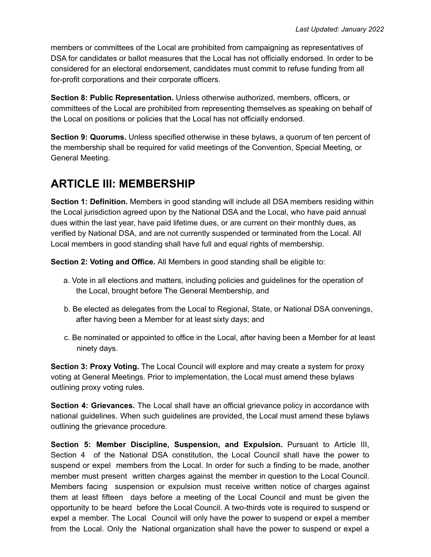members or committees of the Local are prohibited from campaigning as representatives of DSA for candidates or ballot measures that the Local has not officially endorsed. In order to be considered for an electoral endorsement, candidates must commit to refuse funding from all for-profit corporations and their corporate officers.

**Section 8: Public Representation.** Unless otherwise authorized, members, officers, or committees of the Local are prohibited from representing themselves as speaking on behalf of the Local on positions or policies that the Local has not officially endorsed.

**Section 9: Quorums.** Unless specified otherwise in these bylaws, a quorum of ten percent of the membership shall be required for valid meetings of the Convention, Special Meeting, or General Meeting.

### **ARTICLE III: MEMBERSHIP**

**Section 1: Definition.** Members in good standing will include all DSA members residing within the Local jurisdiction agreed upon by the National DSA and the Local, who have paid annual dues within the last year, have paid lifetime dues, or are current on their monthly dues, as verified by National DSA, and are not currently suspended or terminated from the Local. All Local members in good standing shall have full and equal rights of membership.

**Section 2: Voting and Office.** All Members in good standing shall be eligible to:

- a. Vote in all elections and matters, including policies and guidelines for the operation of the Local, brought before The General Membership, and
- b. Be elected as delegates from the Local to Regional, State, or National DSA convenings, after having been a Member for at least sixty days; and
- c. Be nominated or appointed to office in the Local, after having been a Member for at least ninety days.

**Section 3: Proxy Voting.** The Local Council will explore and may create a system for proxy voting at General Meetings. Prior to implementation, the Local must amend these bylaws outlining proxy voting rules.

**Section 4: Grievances.** The Local shall have an official grievance policy in accordance with national guidelines. When such guidelines are provided, the Local must amend these bylaws outlining the grievance procedure.

**Section 5: Member Discipline, Suspension, and Expulsion.** Pursuant to Article III, Section 4 of the National DSA constitution, the Local Council shall have the power to suspend or expel members from the Local. In order for such a finding to be made, another member must present written charges against the member in question to the Local Council. Members facing suspension or expulsion must receive written notice of charges against them at least fifteen days before a meeting of the Local Council and must be given the opportunity to be heard before the Local Council. A two-thirds vote is required to suspend or expel a member. The Local Council will only have the power to suspend or expel a member from the Local. Only the National organization shall have the power to suspend or expel a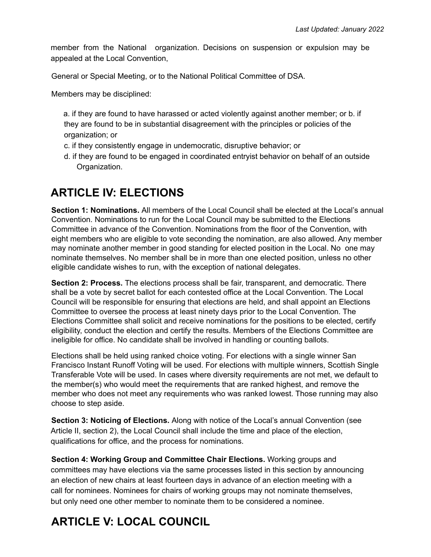member from the National organization. Decisions on suspension or expulsion may be appealed at the Local Convention,

General or Special Meeting, or to the National Political Committee of DSA.

Members may be disciplined:

- a. if they are found to have harassed or acted violently against another member; or b. if they are found to be in substantial disagreement with the principles or policies of the organization; or
- c. if they consistently engage in undemocratic, disruptive behavior; or
- d. if they are found to be engaged in coordinated entryist behavior on behalf of an outside Organization.

### **ARTICLE IV: ELECTIONS**

**Section 1: Nominations.** All members of the Local Council shall be elected at the Local's annual Convention. Nominations to run for the Local Council may be submitted to the Elections Committee in advance of the Convention. Nominations from the floor of the Convention, with eight members who are eligible to vote seconding the nomination, are also allowed. Any member may nominate another member in good standing for elected position in the Local. No one may nominate themselves. No member shall be in more than one elected position, unless no other eligible candidate wishes to run, with the exception of national delegates.

**Section 2: Process.** The elections process shall be fair, transparent, and democratic. There shall be a vote by secret ballot for each contested office at the Local Convention. The Local Council will be responsible for ensuring that elections are held, and shall appoint an Elections Committee to oversee the process at least ninety days prior to the Local Convention. The Elections Committee shall solicit and receive nominations for the positions to be elected, certify eligibility, conduct the election and certify the results. Members of the Elections Committee are ineligible for office. No candidate shall be involved in handling or counting ballots.

Elections shall be held using ranked choice voting. For elections with a single winner San Francisco Instant Runoff Voting will be used. For elections with multiple winners, Scottish Single Transferable Vote will be used. In cases where diversity requirements are not met, we default to the member(s) who would meet the requirements that are ranked highest, and remove the member who does not meet any requirements who was ranked lowest. Those running may also choose to step aside.

**Section 3: Noticing of Elections.** Along with notice of the Local's annual Convention (see Article II, section 2), the Local Council shall include the time and place of the election, qualifications for office, and the process for nominations.

**Section 4: Working Group and Committee Chair Elections.** Working groups and committees may have elections via the same processes listed in this section by announcing an election of new chairs at least fourteen days in advance of an election meeting with a call for nominees. Nominees for chairs of working groups may not nominate themselves, but only need one other member to nominate them to be considered a nominee.

# **ARTICLE V: LOCAL COUNCIL**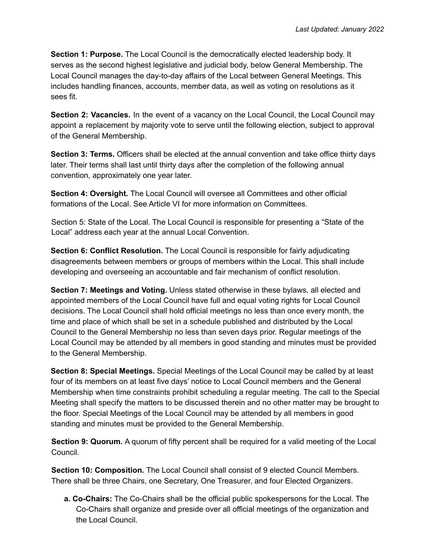**Section 1: Purpose.** The Local Council is the democratically elected leadership body. It serves as the second highest legislative and judicial body, below General Membership. The Local Council manages the day-to-day affairs of the Local between General Meetings. This includes handling finances, accounts, member data, as well as voting on resolutions as it sees fit.

**Section 2: Vacancies.** In the event of a vacancy on the Local Council, the Local Council may appoint a replacement by majority vote to serve until the following election, subject to approval of the General Membership.

**Section 3: Terms.** Officers shall be elected at the annual convention and take office thirty days later. Their terms shall last until thirty days after the completion of the following annual convention, approximately one year later.

**Section 4: Oversight.** The Local Council will oversee all Committees and other official formations of the Local. See Article VI for more information on Committees.

Section 5: State of the Local. The Local Council is responsible for presenting a "State of the Local" address each year at the annual Local Convention.

**Section 6: Conflict Resolution.** The Local Council is responsible for fairly adjudicating disagreements between members or groups of members within the Local. This shall include developing and overseeing an accountable and fair mechanism of conflict resolution.

**Section 7: Meetings and Voting.** Unless stated otherwise in these bylaws, all elected and appointed members of the Local Council have full and equal voting rights for Local Council decisions. The Local Council shall hold official meetings no less than once every month, the time and place of which shall be set in a schedule published and distributed by the Local Council to the General Membership no less than seven days prior. Regular meetings of the Local Council may be attended by all members in good standing and minutes must be provided to the General Membership.

**Section 8: Special Meetings.** Special Meetings of the Local Council may be called by at least four of its members on at least five days' notice to Local Council members and the General Membership when time constraints prohibit scheduling a regular meeting. The call to the Special Meeting shall specify the matters to be discussed therein and no other matter may be brought to the floor. Special Meetings of the Local Council may be attended by all members in good standing and minutes must be provided to the General Membership.

**Section 9: Quorum.** A quorum of fifty percent shall be required for a valid meeting of the Local Council.

**Section 10: Composition.** The Local Council shall consist of 9 elected Council Members. There shall be three Chairs, one Secretary, One Treasurer, and four Elected Organizers.

**a. Co-Chairs:** The Co-Chairs shall be the official public spokespersons for the Local. The Co-Chairs shall organize and preside over all official meetings of the organization and the Local Council.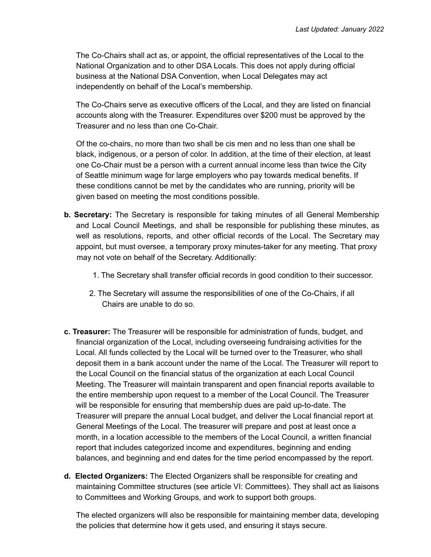The Co-Chairs shall act as, or appoint, the official representatives of the Local to the National Organization and to other DSA Locals. This does not apply during official business at the National DSA Convention, when Local Delegates may act independently on behalf of the Local's membership.

The Co-Chairs serve as executive officers of the Local, and they are listed on financial accounts along with the Treasurer. Expenditures over \$200 must be approved by the Treasurer and no less than one Co-Chair.

Of the co-chairs, no more than two shall be cis men and no less than one shall be black, indigenous, or a person of color. In addition, at the time of their election, at least one Co-Chair must be a person with a current annual income less than twice the City of Seattle minimum wage for large employers who pay towards medical benefits. If these conditions cannot be met by the candidates who are running, priority will be given based on meeting the most conditions possible.

- **b. Secretary:** The Secretary is responsible for taking minutes of all General Membership and Local Council Meetings, and shall be responsible for publishing these minutes, as well as resolutions, reports, and other official records of the Local. The Secretary may appoint, but must oversee, a temporary proxy minutes-taker for any meeting. That proxy may not vote on behalf of the Secretary. Additionally:
	- 1. The Secretary shall transfer official records in good condition to their successor.
	- 2. The Secretary will assume the responsibilities of one of the Co-Chairs, if all Chairs are unable to do so.
- **c. Treasurer:** The Treasurer will be responsible for administration of funds, budget, and financial organization of the Local, including overseeing fundraising activities for the Local. All funds collected by the Local will be turned over to the Treasurer, who shall deposit them in a bank account under the name of the Local. The Treasurer will report to the Local Council on the financial status of the organization at each Local Council Meeting. The Treasurer will maintain transparent and open financial reports available to the entire membership upon request to a member of the Local Council. The Treasurer will be responsible for ensuring that membership dues are paid up-to-date. The Treasurer will prepare the annual Local budget, and deliver the Local financial report at General Meetings of the Local. The treasurer will prepare and post at least once a month, in a location accessible to the members of the Local Council, a written financial report that includes categorized income and expenditures, beginning and ending balances, and beginning and end dates for the time period encompassed by the report.
- **d. Elected Organizers:** The Elected Organizers shall be responsible for creating and maintaining Committee structures (see article VI: Committees). They shall act as liaisons to Committees and Working Groups, and work to support both groups.

The elected organizers will also be responsible for maintaining member data, developing the policies that determine how it gets used, and ensuring it stays secure.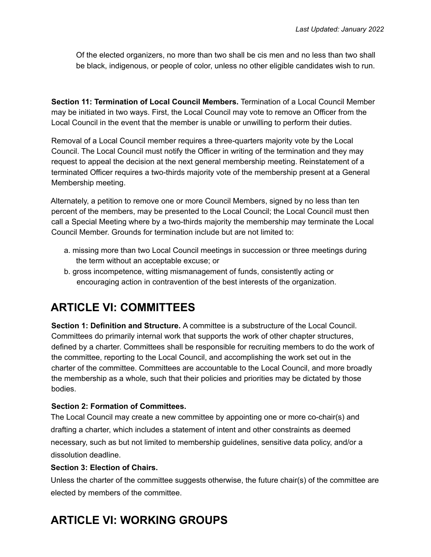Of the elected organizers, no more than two shall be cis men and no less than two shall be black, indigenous, or people of color, unless no other eligible candidates wish to run.

**Section 11: Termination of Local Council Members.** Termination of a Local Council Member may be initiated in two ways. First, the Local Council may vote to remove an Officer from the Local Council in the event that the member is unable or unwilling to perform their duties.

Removal of a Local Council member requires a three-quarters majority vote by the Local Council. The Local Council must notify the Officer in writing of the termination and they may request to appeal the decision at the next general membership meeting. Reinstatement of a terminated Officer requires a two-thirds majority vote of the membership present at a General Membership meeting.

Alternately, a petition to remove one or more Council Members, signed by no less than ten percent of the members, may be presented to the Local Council; the Local Council must then call a Special Meeting where by a two-thirds majority the membership may terminate the Local Council Member. Grounds for termination include but are not limited to:

- a. missing more than two Local Council meetings in succession or three meetings during the term without an acceptable excuse; or
- b. gross incompetence, witting mismanagement of funds, consistently acting or encouraging action in contravention of the best interests of the organization.

### **ARTICLE VI: COMMITTEES**

**Section 1: Definition and Structure.** A committee is a substructure of the Local Council. Committees do primarily internal work that supports the work of other chapter structures, defined by a charter. Committees shall be responsible for recruiting members to do the work of the committee, reporting to the Local Council, and accomplishing the work set out in the charter of the committee. Committees are accountable to the Local Council, and more broadly the membership as a whole, such that their policies and priorities may be dictated by those bodies.

#### **Section 2: Formation of Committees.**

The Local Council may create a new committee by appointing one or more co-chair(s) and drafting a charter, which includes a statement of intent and other constraints as deemed necessary, such as but not limited to membership guidelines, sensitive data policy, and/or a dissolution deadline.

#### **Section 3: Election of Chairs.**

Unless the charter of the committee suggests otherwise, the future chair(s) of the committee are elected by members of the committee.

# **ARTICLE VI: WORKING GROUPS**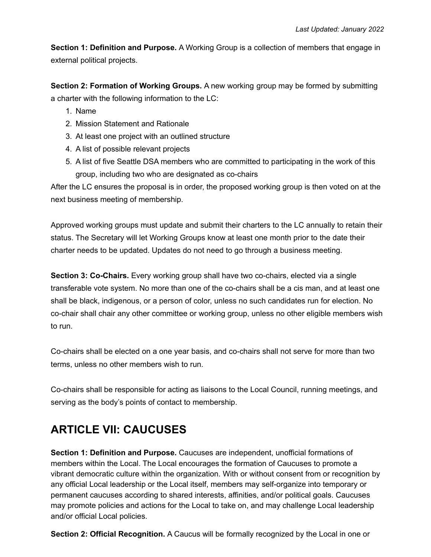**Section 1: Definition and Purpose.** A Working Group is a collection of members that engage in external political projects.

**Section 2: Formation of Working Groups.** A new working group may be formed by submitting a charter with the following information to the LC:

- 1. Name
- 2. Mission Statement and Rationale
- 3. At least one project with an outlined structure
- 4. A list of possible relevant projects
- 5. A list of five Seattle DSA members who are committed to participating in the work of this group, including two who are designated as co-chairs

After the LC ensures the proposal is in order, the proposed working group is then voted on at the next business meeting of membership.

Approved working groups must update and submit their charters to the LC annually to retain their status. The Secretary will let Working Groups know at least one month prior to the date their charter needs to be updated. Updates do not need to go through a business meeting.

**Section 3: Co-Chairs.** Every working group shall have two co-chairs, elected via a single transferable vote system. No more than one of the co-chairs shall be a cis man, and at least one shall be black, indigenous, or a person of color, unless no such candidates run for election. No co-chair shall chair any other committee or working group, unless no other eligible members wish to run.

Co-chairs shall be elected on a one year basis, and co-chairs shall not serve for more than two terms, unless no other members wish to run.

Co-chairs shall be responsible for acting as liaisons to the Local Council, running meetings, and serving as the body's points of contact to membership.

### **ARTICLE VII: CAUCUSES**

**Section 1: Definition and Purpose.** Caucuses are independent, unofficial formations of members within the Local. The Local encourages the formation of Caucuses to promote a vibrant democratic culture within the organization. With or without consent from or recognition by any official Local leadership or the Local itself, members may self-organize into temporary or permanent caucuses according to shared interests, affinities, and/or political goals. Caucuses may promote policies and actions for the Local to take on, and may challenge Local leadership and/or official Local policies.

**Section 2: Official Recognition.** A Caucus will be formally recognized by the Local in one or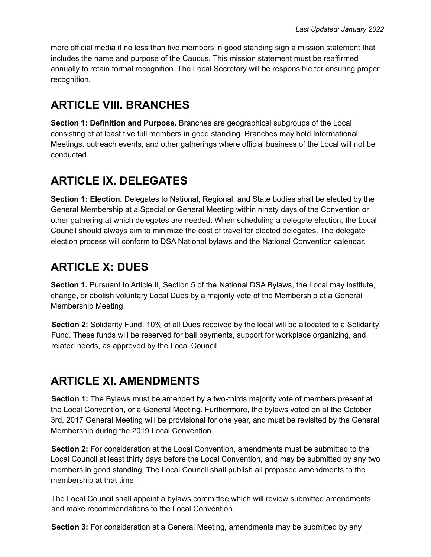more official media if no less than five members in good standing sign a mission statement that includes the name and purpose of the Caucus. This mission statement must be reaffirmed annually to retain formal recognition. The Local Secretary will be responsible for ensuring proper recognition.

### **ARTICLE VIII. BRANCHES**

**Section 1: Definition and Purpose.** Branches are geographical subgroups of the Local consisting of at least five full members in good standing. Branches may hold Informational Meetings, outreach events, and other gatherings where official business of the Local will not be conducted.

## **ARTICLE IX. DELEGATES**

**Section 1: Election.** Delegates to National, Regional, and State bodies shall be elected by the General Membership at a Special or General Meeting within ninety days of the Convention or other gathering at which delegates are needed. When scheduling a delegate election, the Local Council should always aim to minimize the cost of travel for elected delegates. The delegate election process will conform to DSA National bylaws and the National Convention calendar.

### **ARTICLE X: DUES**

**Section 1.** Pursuant to Article II, Section 5 of the National DSA Bylaws, the Local may institute, change, or abolish voluntary Local Dues by a majority vote of the Membership at a General Membership Meeting.

**Section 2:** Solidarity Fund. 10% of all Dues received by the local will be allocated to a Solidarity Fund. These funds will be reserved for bail payments, support for workplace organizing, and related needs, as approved by the Local Council.

### **ARTICLE XI. AMENDMENTS**

**Section 1:** The Bylaws must be amended by a two-thirds majority vote of members present at the Local Convention, or a General Meeting. Furthermore, the bylaws voted on at the October 3rd, 2017 General Meeting will be provisional for one year, and must be revisited by the General Membership during the 2019 Local Convention.

**Section 2:** For consideration at the Local Convention, amendments must be submitted to the Local Council at least thirty days before the Local Convention, and may be submitted by any two members in good standing. The Local Council shall publish all proposed amendments to the membership at that time.

The Local Council shall appoint a bylaws committee which will review submitted amendments and make recommendations to the Local Convention.

**Section 3:** For consideration at a General Meeting, amendments may be submitted by any